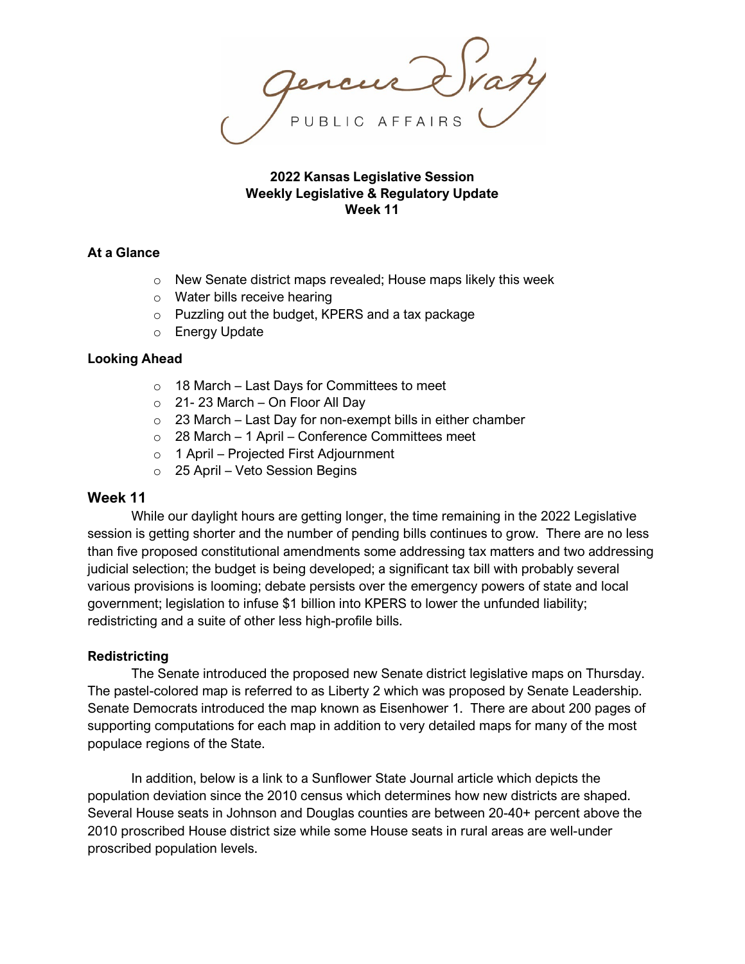## **2022 Kansas Legislative Session Weekly Legislative & Regulatory Update Week 11**

# **At a Glance**

- o New Senate district maps revealed; House maps likely this week
- o Water bills receive hearing
- o Puzzling out the budget, KPERS and a tax package
- o Energy Update

### **Looking Ahead**

- $\circ$  18 March Last Days for Committees to meet
- $\circ$  21-23 March On Floor All Day
- $\circ$  23 March Last Day for non-exempt bills in either chamber
- o 28 March 1 April Conference Committees meet
- o 1 April Projected First Adjournment
- o 25 April Veto Session Begins

## **Week 11**

While our daylight hours are getting longer, the time remaining in the 2022 Legislative session is getting shorter and the number of pending bills continues to grow. There are no less than five proposed constitutional amendments some addressing tax matters and two addressing judicial selection; the budget is being developed; a significant tax bill with probably several various provisions is looming; debate persists over the emergency powers of state and local government; legislation to infuse \$1 billion into KPERS to lower the unfunded liability; redistricting and a suite of other less high-profile bills.

### **Redistricting**

The Senate introduced the proposed new Senate district legislative maps on Thursday. The pastel-colored map is referred to as Liberty 2 which was proposed by Senate Leadership. Senate Democrats introduced the map known as Eisenhower 1. There are about 200 pages of supporting computations for each map in addition to very detailed maps for many of the most populace regions of the State.

In addition, below is a link to a Sunflower State Journal article which depicts the population deviation since the 2010 census which determines how new districts are shaped. Several House seats in Johnson and Douglas counties are between 20-40+ percent above the 2010 proscribed House district size while some House seats in rural areas are well-under proscribed population levels.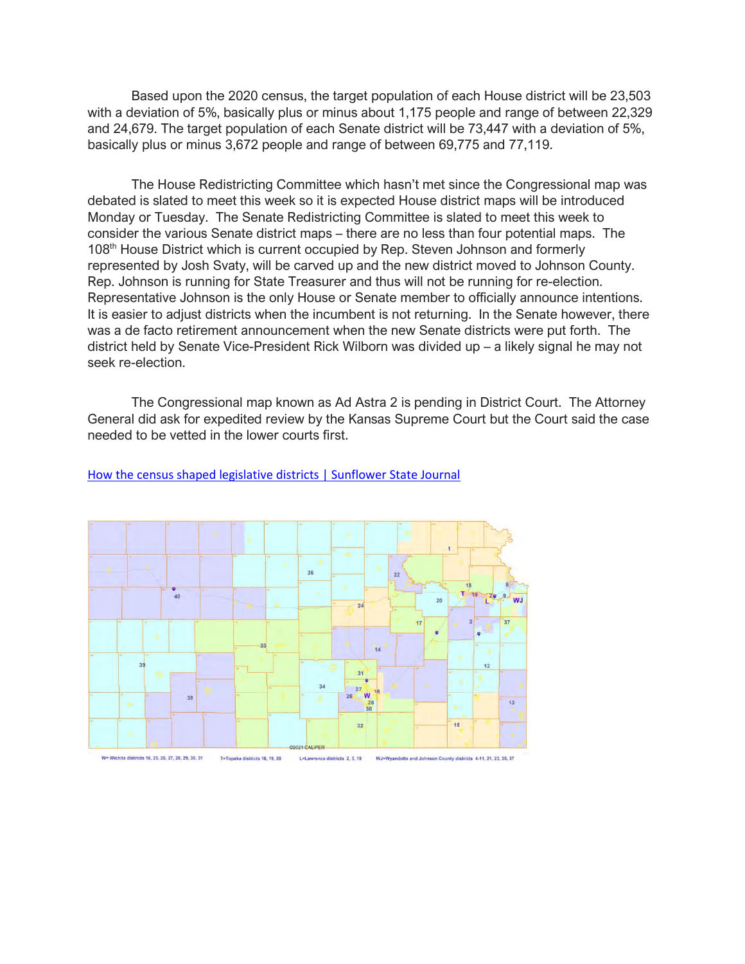Based upon the 2020 census, the target population of each House district will be 23,503 with a deviation of 5%, basically plus or minus about 1,175 people and range of between 22,329 and 24,679. The target population of each Senate district will be 73,447 with a deviation of 5%, basically plus or minus 3,672 people and range of between 69,775 and 77,119.

The House Redistricting Committee which hasn't met since the Congressional map was debated is slated to meet this week so it is expected House district maps will be introduced Monday or Tuesday. The Senate Redistricting Committee is slated to meet this week to consider the various Senate district maps – there are no less than four potential maps. The 108th House District which is current occupied by Rep. Steven Johnson and formerly represented by Josh Svaty, will be carved up and the new district moved to Johnson County. Rep. Johnson is running for State Treasurer and thus will not be running for re-election. Representative Johnson is the only House or Senate member to officially announce intentions. It is easier to adjust districts when the incumbent is not returning. In the Senate however, there was a de facto retirement announcement when the new Senate districts were put forth. The district held by Senate Vice-President Rick Wilborn was divided up – a likely signal he may not seek re-election.

The Congressional map known as Ad Astra 2 is pending in District Court. The Attorney General did ask for expedited review by the Kansas Supreme Court but the Court said the case needed to be vetted in the lower courts first.



#### How [the census shaped legislative districts | Sunflower State Journal](https://sunflowerstatejournal.com/how-the-census-shaped-legislative-districts/?rcp_w=9043e3319ec5a06b6fe9c04fe8fee0db)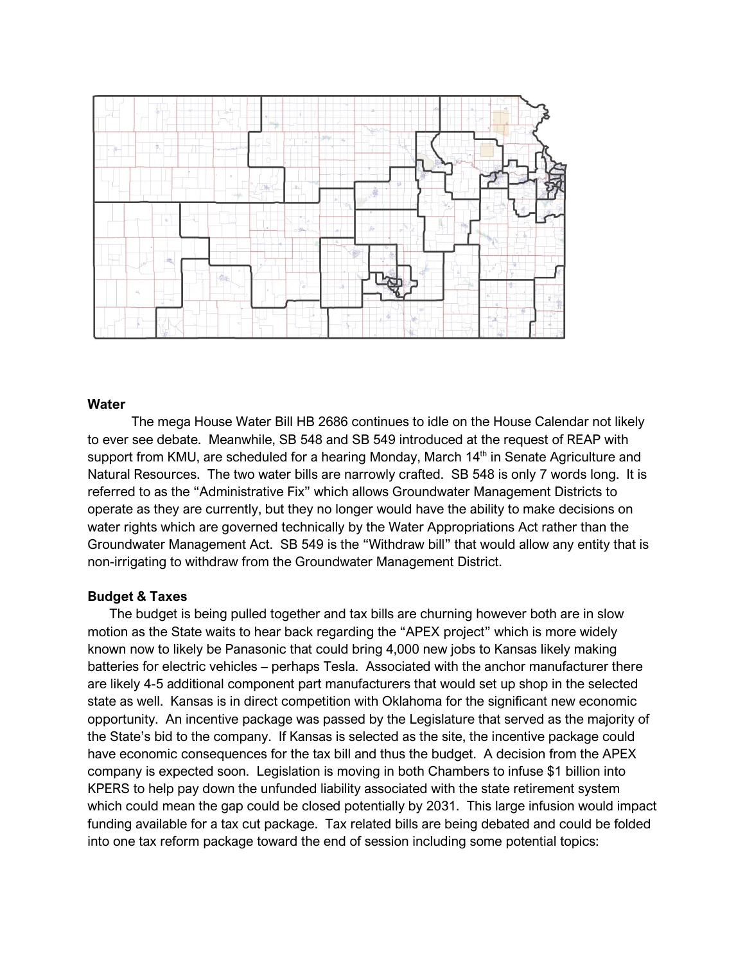

#### **Water**

The mega House Water Bill HB 2686 continues to idle on the House Calendar not likely to ever see debate. Meanwhile, SB 548 and SB 549 introduced at the request of REAP with support from KMU, are scheduled for a hearing Monday, March 14<sup>th</sup> in Senate Agriculture and Natural Resources. The two water bills are narrowly crafted. SB 548 is only 7 words long. It is referred to as the "Administrative Fix" which allows Groundwater Management Districts to operate as they are currently, but they no longer would have the ability to make decisions on water rights which are governed technically by the Water Appropriations Act rather than the Groundwater Management Act. SB 549 is the "Withdraw bill" that would allow any entity that is non-irrigating to withdraw from the Groundwater Management District.

### **Budget & Taxes**

The budget is being pulled together and tax bills are churning however both are in slow motion as the State waits to hear back regarding the "APEX project" which is more widely known now to likely be Panasonic that could bring 4,000 new jobs to Kansas likely making batteries for electric vehicles – perhaps Tesla. Associated with the anchor manufacturer there are likely 4-5 additional component part manufacturers that would set up shop in the selected state as well. Kansas is in direct competition with Oklahoma for the significant new economic opportunity. An incentive package was passed by the Legislature that served as the majority of the State's bid to the company. If Kansas is selected as the site, the incentive package could have economic consequences for the tax bill and thus the budget. A decision from the APEX company is expected soon. Legislation is moving in both Chambers to infuse \$1 billion into KPERS to help pay down the unfunded liability associated with the state retirement system which could mean the gap could be closed potentially by 2031. This large infusion would impact funding available for a tax cut package. Tax related bills are being debated and could be folded into one tax reform package toward the end of session including some potential topics: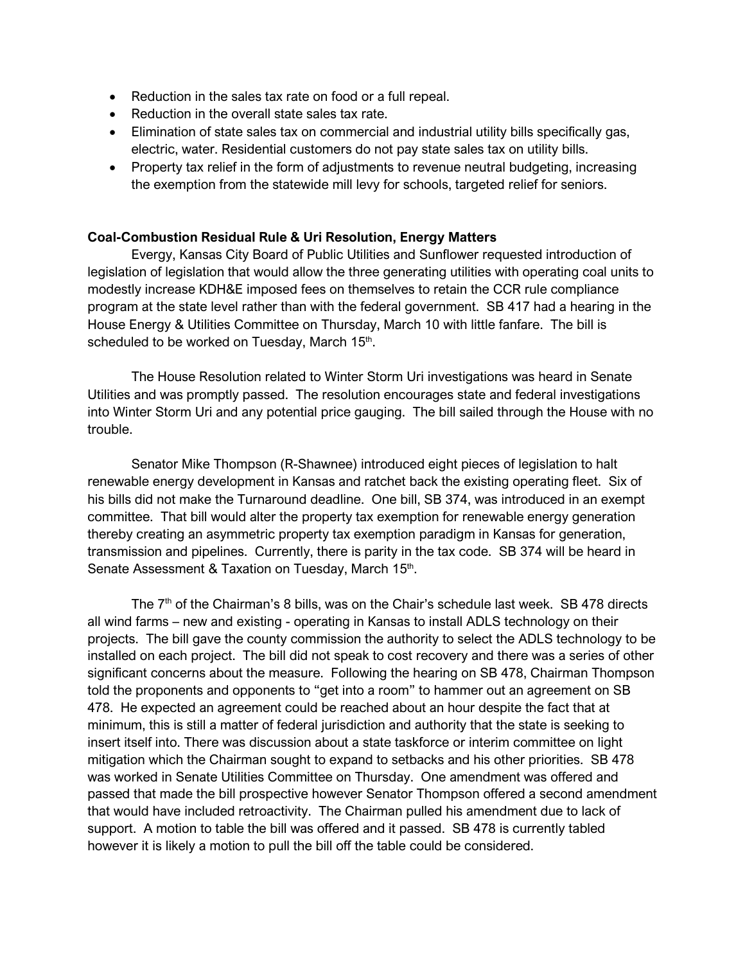- Reduction in the sales tax rate on food or a full repeal.
- Reduction in the overall state sales tax rate.
- Elimination of state sales tax on commercial and industrial utility bills specifically gas, electric, water. Residential customers do not pay state sales tax on utility bills.
- Property tax relief in the form of adjustments to revenue neutral budgeting, increasing the exemption from the statewide mill levy for schools, targeted relief for seniors.

### **Coal-Combustion Residual Rule & Uri Resolution, Energy Matters**

Evergy, Kansas City Board of Public Utilities and Sunflower requested introduction of legislation of legislation that would allow the three generating utilities with operating coal units to modestly increase KDH&E imposed fees on themselves to retain the CCR rule compliance program at the state level rather than with the federal government. SB 417 had a hearing in the House Energy & Utilities Committee on Thursday, March 10 with little fanfare. The bill is scheduled to be worked on Tuesday, March 15<sup>th</sup>.

The House Resolution related to Winter Storm Uri investigations was heard in Senate Utilities and was promptly passed. The resolution encourages state and federal investigations into Winter Storm Uri and any potential price gauging. The bill sailed through the House with no trouble.

Senator Mike Thompson (R-Shawnee) introduced eight pieces of legislation to halt renewable energy development in Kansas and ratchet back the existing operating fleet. Six of his bills did not make the Turnaround deadline. One bill, SB 374, was introduced in an exempt committee. That bill would alter the property tax exemption for renewable energy generation thereby creating an asymmetric property tax exemption paradigm in Kansas for generation, transmission and pipelines. Currently, there is parity in the tax code. SB 374 will be heard in Senate Assessment & Taxation on Tuesday, March 15th.

The  $7<sup>th</sup>$  of the Chairman's 8 bills, was on the Chair's schedule last week. SB 478 directs all wind farms – new and existing - operating in Kansas to install ADLS technology on their projects. The bill gave the county commission the authority to select the ADLS technology to be installed on each project. The bill did not speak to cost recovery and there was a series of other significant concerns about the measure. Following the hearing on SB 478, Chairman Thompson told the proponents and opponents to "get into a room" to hammer out an agreement on SB 478. He expected an agreement could be reached about an hour despite the fact that at minimum, this is still a matter of federal jurisdiction and authority that the state is seeking to insert itself into. There was discussion about a state taskforce or interim committee on light mitigation which the Chairman sought to expand to setbacks and his other priorities. SB 478 was worked in Senate Utilities Committee on Thursday. One amendment was offered and passed that made the bill prospective however Senator Thompson offered a second amendment that would have included retroactivity. The Chairman pulled his amendment due to lack of support. A motion to table the bill was offered and it passed. SB 478 is currently tabled however it is likely a motion to pull the bill off the table could be considered.